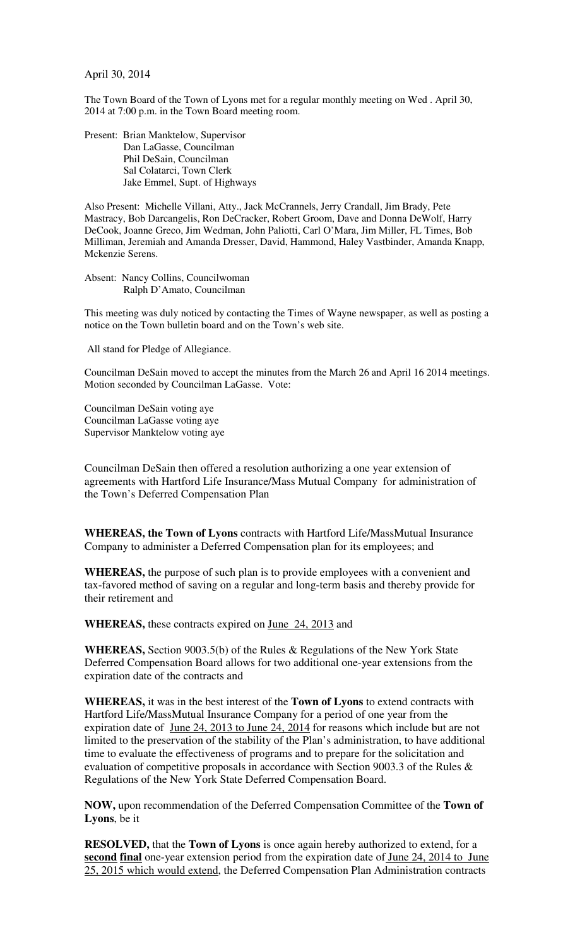April 30, 2014

The Town Board of the Town of Lyons met for a regular monthly meeting on Wed . April 30, 2014 at 7:00 p.m. in the Town Board meeting room.

Present: Brian Manktelow, Supervisor Dan LaGasse, Councilman Phil DeSain, Councilman Sal Colatarci, Town Clerk Jake Emmel, Supt. of Highways

Also Present: Michelle Villani, Atty., Jack McCrannels, Jerry Crandall, Jim Brady, Pete Mastracy, Bob Darcangelis, Ron DeCracker, Robert Groom, Dave and Donna DeWolf, Harry DeCook, Joanne Greco, Jim Wedman, John Paliotti, Carl O'Mara, Jim Miller, FL Times, Bob Milliman, Jeremiah and Amanda Dresser, David, Hammond, Haley Vastbinder, Amanda Knapp, Mckenzie Serens.

Absent: Nancy Collins, Councilwoman Ralph D'Amato, Councilman

This meeting was duly noticed by contacting the Times of Wayne newspaper, as well as posting a notice on the Town bulletin board and on the Town's web site.

All stand for Pledge of Allegiance.

Councilman DeSain moved to accept the minutes from the March 26 and April 16 2014 meetings. Motion seconded by Councilman LaGasse. Vote:

Councilman DeSain voting aye Councilman LaGasse voting aye Supervisor Manktelow voting aye

Councilman DeSain then offered a resolution authorizing a one year extension of agreements with Hartford Life Insurance/Mass Mutual Company for administration of the Town's Deferred Compensation Plan

**WHEREAS, the Town of Lyons** contracts with Hartford Life/MassMutual Insurance Company to administer a Deferred Compensation plan for its employees; and

**WHEREAS,** the purpose of such plan is to provide employees with a convenient and tax-favored method of saving on a regular and long-term basis and thereby provide for their retirement and

**WHEREAS,** these contracts expired on June 24, 2013 and

**WHEREAS,** Section 9003.5(b) of the Rules & Regulations of the New York State Deferred Compensation Board allows for two additional one-year extensions from the expiration date of the contracts and

**WHEREAS,** it was in the best interest of the **Town of Lyons** to extend contracts with Hartford Life/MassMutual Insurance Company for a period of one year from the expiration date of June 24, 2013 to June 24, 2014 for reasons which include but are not limited to the preservation of the stability of the Plan's administration, to have additional time to evaluate the effectiveness of programs and to prepare for the solicitation and evaluation of competitive proposals in accordance with Section 9003.3 of the Rules & Regulations of the New York State Deferred Compensation Board.

**NOW,** upon recommendation of the Deferred Compensation Committee of the **Town of Lyons**, be it

**RESOLVED,** that the **Town of Lyons** is once again hereby authorized to extend, for a second final one-year extension period from the expiration date of June 24, 2014 to June 25, 2015 which would extend, the Deferred Compensation Plan Administration contracts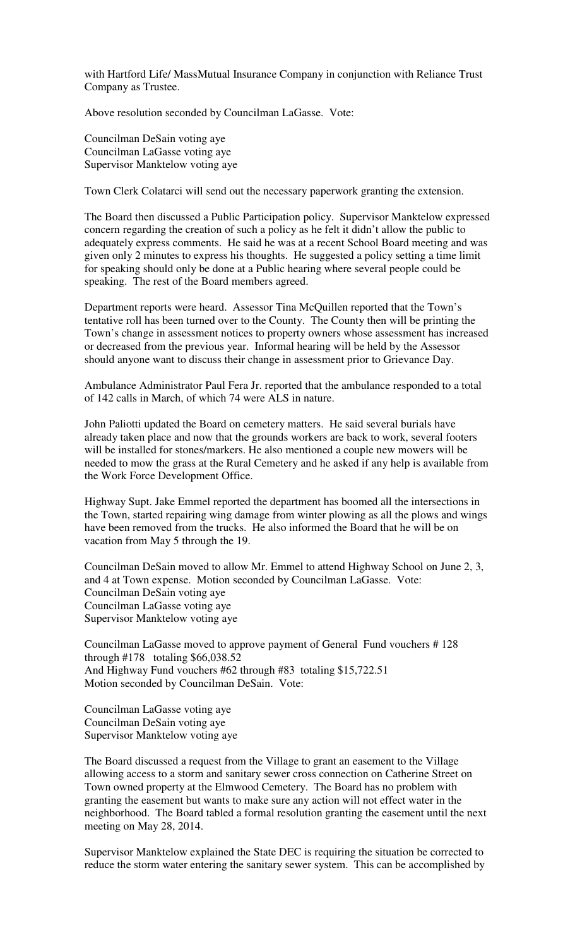with Hartford Life/ MassMutual Insurance Company in conjunction with Reliance Trust Company as Trustee.

Above resolution seconded by Councilman LaGasse. Vote:

Councilman DeSain voting aye Councilman LaGasse voting aye Supervisor Manktelow voting aye

Town Clerk Colatarci will send out the necessary paperwork granting the extension.

The Board then discussed a Public Participation policy. Supervisor Manktelow expressed concern regarding the creation of such a policy as he felt it didn't allow the public to adequately express comments. He said he was at a recent School Board meeting and was given only 2 minutes to express his thoughts. He suggested a policy setting a time limit for speaking should only be done at a Public hearing where several people could be speaking. The rest of the Board members agreed.

Department reports were heard. Assessor Tina McQuillen reported that the Town's tentative roll has been turned over to the County. The County then will be printing the Town's change in assessment notices to property owners whose assessment has increased or decreased from the previous year. Informal hearing will be held by the Assessor should anyone want to discuss their change in assessment prior to Grievance Day.

Ambulance Administrator Paul Fera Jr. reported that the ambulance responded to a total of 142 calls in March, of which 74 were ALS in nature.

John Paliotti updated the Board on cemetery matters. He said several burials have already taken place and now that the grounds workers are back to work, several footers will be installed for stones/markers. He also mentioned a couple new mowers will be needed to mow the grass at the Rural Cemetery and he asked if any help is available from the Work Force Development Office.

Highway Supt. Jake Emmel reported the department has boomed all the intersections in the Town, started repairing wing damage from winter plowing as all the plows and wings have been removed from the trucks. He also informed the Board that he will be on vacation from May 5 through the 19.

Councilman DeSain moved to allow Mr. Emmel to attend Highway School on June 2, 3, and 4 at Town expense. Motion seconded by Councilman LaGasse. Vote: Councilman DeSain voting aye Councilman LaGasse voting aye Supervisor Manktelow voting aye

Councilman LaGasse moved to approve payment of General Fund vouchers # 128 through #178 totaling \$66,038.52 And Highway Fund vouchers #62 through #83 totaling \$15,722.51 Motion seconded by Councilman DeSain. Vote:

Councilman LaGasse voting aye Councilman DeSain voting aye Supervisor Manktelow voting aye

The Board discussed a request from the Village to grant an easement to the Village allowing access to a storm and sanitary sewer cross connection on Catherine Street on Town owned property at the Elmwood Cemetery. The Board has no problem with granting the easement but wants to make sure any action will not effect water in the neighborhood. The Board tabled a formal resolution granting the easement until the next meeting on May 28, 2014.

Supervisor Manktelow explained the State DEC is requiring the situation be corrected to reduce the storm water entering the sanitary sewer system. This can be accomplished by